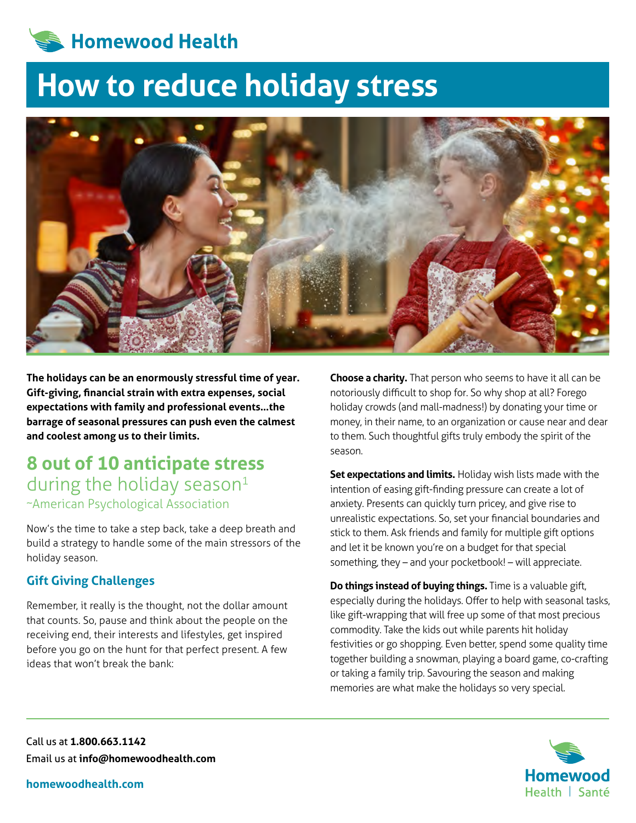

# **How to reduce holiday stress**



**The holidays can be an enormously stressful time of year. Gift-giving, financial strain with extra expenses, social expectations with family and professional events…the barrage of seasonal pressures can push even the calmest and coolest among us to their limits.**

# **8 out of 10 anticipate stress**  during the holiday season $1$ ~American Psychological Association

Now's the time to take a step back, take a deep breath and build a strategy to handle some of the main stressors of the holiday season.

## **Gift Giving Challenges**

Remember, it really is the thought, not the dollar amount that counts. So, pause and think about the people on the receiving end, their interests and lifestyles, get inspired before you go on the hunt for that perfect present. A few ideas that won't break the bank:

**Choose a charity.** That person who seems to have it all can be notoriously difficult to shop for. So why shop at all? Forego holiday crowds (and mall-madness!) by donating your time or money, in their name, to an organization or cause near and dear to them. Such thoughtful gifts truly embody the spirit of the season.

**Set expectations and limits.** Holiday wish lists made with the intention of easing gift-finding pressure can create a lot of anxiety. Presents can quickly turn pricey, and give rise to unrealistic expectations. So, set your financial boundaries and stick to them. Ask friends and family for multiple gift options and let it be known you're on a budget for that special something, they – and your pocketbook! – will appreciate.

**Do things instead of buying things.** Time is a valuable gift, especially during the holidays. Offer to help with seasonal tasks, like gift-wrapping that will free up some of that most precious commodity. Take the kids out while parents hit holiday festivities or go shopping. Even better, spend some quality time together building a snowman, playing a board game, co-crafting or taking a family trip. Savouring the season and making memories are what make the holidays so very special.



Call us at **1.800.663.1142** Email us at **info@homewoodhealth.com**

**homewoodhealth.com**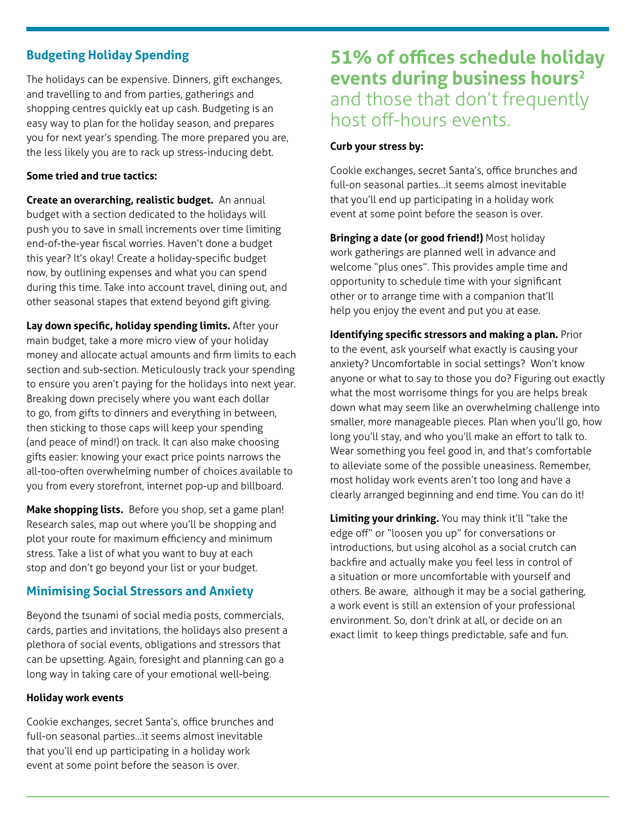## **Budgeting Holiday Spending**

The holidays can be expensive. Dinners, gift exchanges, and travelling to and from parties, gatherings and shopping centres quickly eat up cash. Budgeting is an easy way to plan for the holiday season, and prepares you for next year's spending. The more prepared you are, the less likely you are to rack up stress-inducing debt.

#### **Some tried and true tactics:**

**Create an overarching, realistic budget.** An annual budget with a section dedicated to the holidays will push you to save in small increments over time limiting end-of-the-year fiscal worries. Haven't done a budget this year? It's okay! Create a holiday-specific budget now, by outlining expenses and what you can spend during this time. Take into account travel, dining out, and other seasonal stapes that extend beyond gift giving.

**Lay down specific, holiday spending limits.** After your main budget, take a more micro view of your holiday money and allocate actual amounts and firm limits to each section and sub-section. Meticulously track your spending to ensure you aren't paying for the holidays into next year. Breaking down precisely where you want each dollar to go, from gifts to dinners and everything in between, then sticking to those caps will keep your spending (and peace of mind!) on track. It can also make choosing gifts easier: knowing your exact price points narrows the all-too-often overwhelming number of choices available to you from every storefront, internet pop-up and billboard.

**Make shopping lists.** Before you shop, set a game plan! Research sales, map out where you'll be shopping and plot your route for maximum efficiency and minimum stress. Take a list of what you want to buy at each stop and don't go beyond your list or your budget.

# **Minimising Social Stressors and Anxiety**

Beyond the tsunami of social media posts, commercials, cards, parties and invitations, the holidays also present a plethora of social events, obligations and stressors that can be upsetting. Again, foresight and planning can go a long way in taking care of your emotional well-being.

#### **Holiday work events**

Cookie exchanges, secret Santa's, office brunches and full-on seasonal parties…it seems almost inevitable that you'll end up participating in a holiday work event at some point before the season is over.

# **51% of offices schedule holiday events during business hours2** and those that don't frequently host off-hours events.

#### **Curb your stress by:**

Cookie exchanges, secret Santa's, office brunches and full-on seasonal parties…it seems almost inevitable that you'll end up participating in a holiday work event at some point before the season is over.

**Bringing a date (or good friend!)** Most holiday work gatherings are planned well in advance and welcome "plus ones". This provides ample time and opportunity to schedule time with your significant other or to arrange time with a companion that'll help you enjoy the event and put you at ease.

**Identifying specific stressors and making a plan.** Prior to the event, ask yourself what exactly is causing your anxiety? Uncomfortable in social settings? Won't know anyone or what to say to those you do? Figuring out exactly what the most worrisome things for you are helps break down what may seem like an overwhelming challenge into smaller, more manageable pieces. Plan when you'll go, how long you'll stay, and who you'll make an effort to talk to. Wear something you feel good in, and that's comfortable to alleviate some of the possible uneasiness. Remember, most holiday work events aren't too long and have a clearly arranged beginning and end time. You can do it!

**Limiting your drinking.** You may think it'll "take the edge off" or "loosen you up" for conversations or introductions, but using alcohol as a social crutch can backfire and actually make you feel less in control of a situation or more uncomfortable with yourself and others. Be aware, although it may be a social gathering, a work event is still an extension of your professional environment. So, don't drink at all, or decide on an exact limit to keep things predictable, safe and fun.